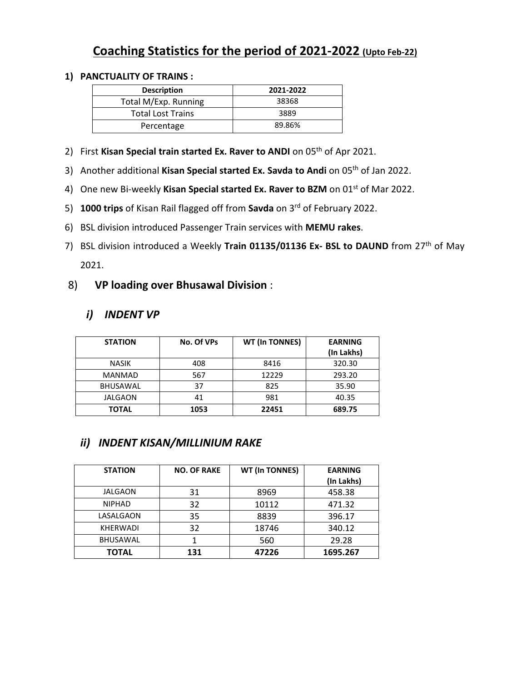# Coaching Statistics for the period of 2021-2022 (Upto Feb-22)

#### 1) PANCTUALITY OF TRAINS :

| <b>Description</b>       | 2021-2022 |
|--------------------------|-----------|
| Total M/Exp. Running     | 38368     |
| <b>Total Lost Trains</b> | 3889      |
| Percentage               | 89.86%    |

- 2) First Kisan Special train started Ex. Raver to ANDI on  $05<sup>th</sup>$  of Apr 2021.
- 3) Another additional Kisan Special started Ex. Savda to Andi on 05<sup>th</sup> of Jan 2022.
- 4) One new Bi-weekly Kisan Special started Ex. Raver to BZM on 01<sup>st</sup> of Mar 2022.
- 5) 1000 trips of Kisan Rail flagged off from Savda on 3rd of February 2022.
- 6) BSL division introduced Passenger Train services with MEMU rakes.
- 7) BSL division introduced a Weekly Train 01135/01136 Ex- BSL to DAUND from 27<sup>th</sup> of May 2021.

### 8) VP loading over Bhusawal Division :

## i) INDENT VP

| <b>STATION</b>  | No. Of VPs | <b>WT (In TONNES)</b> | <b>EARNING</b> |
|-----------------|------------|-----------------------|----------------|
|                 |            |                       | (In Lakhs)     |
| <b>NASIK</b>    | 408        | 8416                  | 320.30         |
| <b>MANMAD</b>   | 567        | 12229                 | 293.20         |
| <b>BHUSAWAL</b> | 37         | 825                   | 35.90          |
| JALGAON         | 41         | 981                   | 40.35          |
| <b>TOTAL</b>    | 1053       | 22451                 | 689.75         |

## ii) INDENT KISAN/MILLINIUM RAKE

| <b>STATION</b>  | <b>NO. OF RAKE</b> | <b>WT (In TONNES)</b> | <b>EARNING</b><br>(In Lakhs) |
|-----------------|--------------------|-----------------------|------------------------------|
| JALGAON         | 31                 | 8969                  | 458.38                       |
| <b>NIPHAD</b>   | 32                 | 10112                 | 471.32                       |
| LASALGAON       | 35                 | 8839                  | 396.17                       |
| <b>KHERWADI</b> | 32                 | 18746                 | 340.12                       |
| BHUSAWAL        |                    | 560                   | 29.28                        |
| TOTAL           | 131                | 47226                 | 1695.267                     |